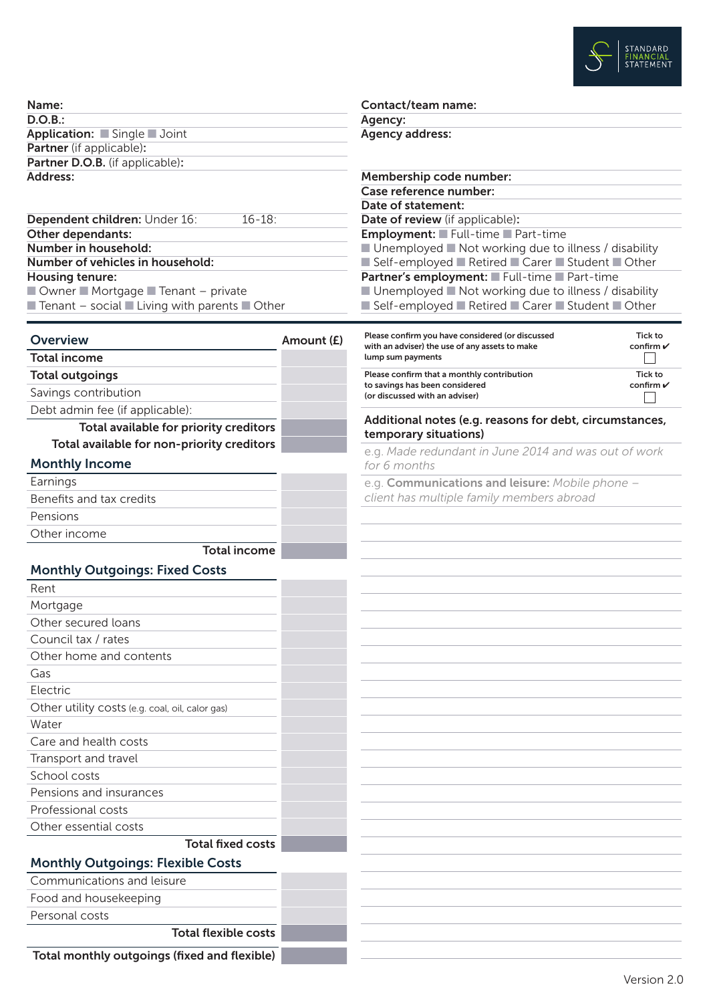

| Name:                           |  |
|---------------------------------|--|
| D.O.B.:                         |  |
| Application: Single Joint       |  |
| <b>Partner</b> (if applicable): |  |
| Partner D.O.B. (if applicable): |  |
| Address:                        |  |

| Dependent children: Under 16:                                                          | $16 - 18$ : |
|----------------------------------------------------------------------------------------|-------------|
| Other dependants:                                                                      |             |
| Number in household:                                                                   |             |
| Number of vehicles in household:                                                       |             |
| Housing tenure:                                                                        |             |
| $\blacksquare$ Owner $\blacksquare$ Mortgage $\blacksquare$ Tenant – private           |             |
| $\blacksquare$ Tenant – social $\blacksquare$ Living with parents $\blacksquare$ Other |             |

| <b>Overview</b>                                 | Amount (£) | Plea<br>with   |
|-------------------------------------------------|------------|----------------|
| <b>Total income</b>                             |            | lum            |
| <b>Total outgoings</b>                          |            | Plea           |
| Savings contribution                            |            | to sa<br>(or d |
| Debt admin fee (if applicable):                 |            |                |
| Total available for priority creditors          |            | Ad<br>ten      |
| Total available for non-priority creditors      |            | e.g            |
| <b>Monthly Income</b>                           |            | for            |
| Earnings                                        |            | e.g            |
| Benefits and tax credits                        |            | clie           |
| Pensions                                        |            |                |
| Other income                                    |            |                |
| <b>Total income</b>                             |            |                |
| <b>Monthly Outgoings: Fixed Costs</b>           |            |                |
| Rent                                            |            |                |
| Mortgage                                        |            |                |
| Other secured loans                             |            |                |
| Council tax / rates                             |            |                |
| Other home and contents                         |            |                |
| Gas                                             |            |                |
| Electric                                        |            |                |
| Other utility costs (e.g. coal, oil, calor gas) |            |                |
| Water                                           |            |                |
| Care and health costs                           |            |                |
| Transport and travel                            |            |                |
| School costs                                    |            |                |
| Pensions and insurances                         |            |                |
| Professional costs                              |            |                |
| Other essential costs                           |            |                |
| <b>Total fixed costs</b>                        |            |                |
| <b>Monthly Outgoings: Flexible Costs</b>        |            |                |

Communications and leisure Food and housekeeping

Personal costs

Total flexible costs

Total monthly outgoings (fixed and flexible)

Contact/team name:

Agency:

Agency address:

| Membership code number:                                                                                                 |                                 |
|-------------------------------------------------------------------------------------------------------------------------|---------------------------------|
| Case reference number:                                                                                                  |                                 |
| Date of statement:                                                                                                      |                                 |
| <b>Date of review</b> (if applicable):                                                                                  |                                 |
| <b>Employment:</b> Full-time Part-time                                                                                  |                                 |
| ■ Unemployed ■ Not working due to illness / disability                                                                  |                                 |
| Self-employed Retired Carer Student Other                                                                               |                                 |
| Partner's employment: Full-time Part-time                                                                               |                                 |
| $\blacksquare$ Unemployed $\blacksquare$ Not working due to illness / disability                                        |                                 |
| ■ Self-employed ■ Retired ■ Carer ■ Student ■ Other                                                                     |                                 |
|                                                                                                                         |                                 |
| Please confirm you have considered (or discussed<br>with an adviser) the use of any assets to make<br>lump sum payments | Tick to<br>confirm $\checkmark$ |
| Please confirm that a monthly contribution<br>to savings has been considered<br>(or discussed with an adviser)          | Tick to<br>confirm $\checkmark$ |

ditional notes (e.g. reasons for debt, circumstances, nporary situations)

e.g. *Made redundant in June 2014 and was out of work for 6 months*

**Communications and leisure:** *Mobile phone – client has multiple family members abroad*